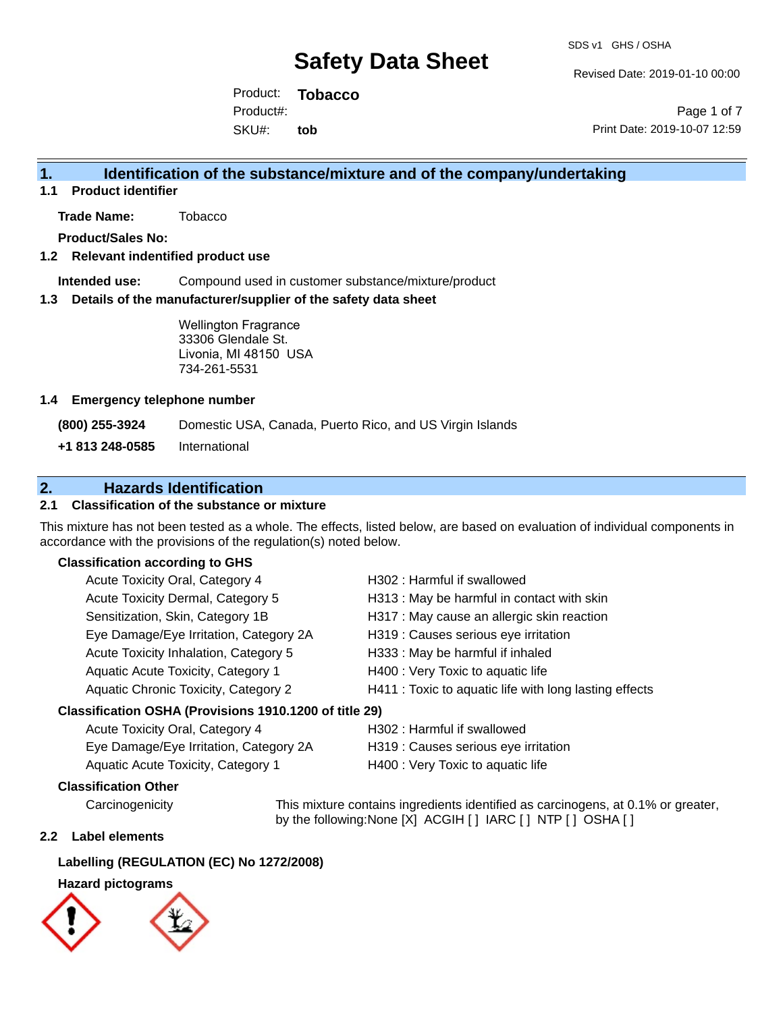Revised Date: 2019-01-10 00:00

Product: **Tobacco** SKU#: Product#: **tob**

Page 1 of 7 Print Date: 2019-10-07 12:59

### **1. Identification of the substance/mixture and of the company/undertaking**

**1.1 Product identifier**

**Trade Name:** Tobacco

**Product/Sales No:**

#### **1.2 Relevant indentified product use**

**Intended use:** Compound used in customer substance/mixture/product

#### **1.3 Details of the manufacturer/supplier of the safety data sheet**

Wellington Fragrance 33306 Glendale St. Livonia, MI 48150 USA 734-261-5531

#### **1.4 Emergency telephone number**

**(800) 255-3924** Domestic USA, Canada, Puerto Rico, and US Virgin Islands

**+1 813 248-0585** International

# **2. Hazards Identification**

#### **2.1 Classification of the substance or mixture**

This mixture has not been tested as a whole. The effects, listed below, are based on evaluation of individual components in accordance with the provisions of the regulation(s) noted below.

#### **Classification according to GHS**

| Acute Toxicity Oral, Category 4                     | H302: Harmful if swallowed                             |
|-----------------------------------------------------|--------------------------------------------------------|
| Acute Toxicity Dermal, Category 5                   | H313: May be harmful in contact with skin              |
| Sensitization, Skin, Category 1B                    | H317 : May cause an allergic skin reaction             |
| Eye Damage/Eye Irritation, Category 2A              | H319 : Causes serious eye irritation                   |
| Acute Toxicity Inhalation, Category 5               | H333: May be harmful if inhaled                        |
| Aquatic Acute Toxicity, Category 1                  | H400 : Very Toxic to aquatic life                      |
| Aquatic Chronic Toxicity, Category 2                | H411 : Toxic to aquatic life with long lasting effects |
| ssification OSHA (Provisions 1910 1200 of title 29) |                                                        |

### **Classification OSHA (Provisions 1910.1200 of title 29)**

| Acute Toxicity Oral, Category 4        | H302 : Harmful if swallowed          |
|----------------------------------------|--------------------------------------|
| Eye Damage/Eye Irritation, Category 2A | H319 : Causes serious eye irritation |
| Aquatic Acute Toxicity, Category 1     | H400 : Very Toxic to aquatic life    |

#### **Classification Other**

Carcinogenicity This mixture contains ingredients identified as carcinogens, at 0.1% or greater, by the following:None [X] ACGIH [ ] IARC [ ] NTP [ ] OSHA [ ]

#### **2.2 Label elements**

#### **Labelling (REGULATION (EC) No 1272/2008)**

#### **Hazard pictograms**

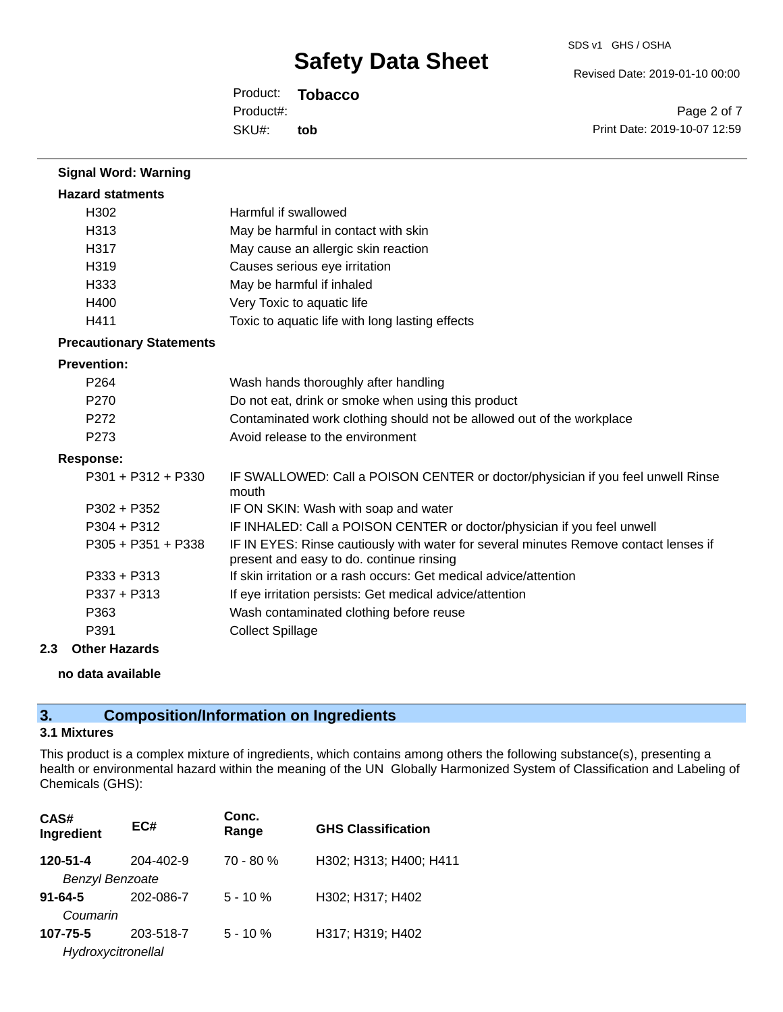Revised Date: 2019-01-10 00:00

Product: **Tobacco** SKU#: Product#: **tob**

Page 2 of 7 Print Date: 2019-10-07 12:59

| <b>Signal Word: Warning</b>     |                                                                                                                                  |
|---------------------------------|----------------------------------------------------------------------------------------------------------------------------------|
| <b>Hazard statments</b>         |                                                                                                                                  |
| H302                            | Harmful if swallowed                                                                                                             |
| H313                            | May be harmful in contact with skin                                                                                              |
| H317                            | May cause an allergic skin reaction                                                                                              |
| H319                            | Causes serious eye irritation                                                                                                    |
| H333                            | May be harmful if inhaled                                                                                                        |
| H400                            | Very Toxic to aquatic life                                                                                                       |
| H411                            | Toxic to aquatic life with long lasting effects                                                                                  |
| <b>Precautionary Statements</b> |                                                                                                                                  |
| <b>Prevention:</b>              |                                                                                                                                  |
| P <sub>264</sub>                | Wash hands thoroughly after handling                                                                                             |
| P <sub>270</sub>                | Do not eat, drink or smoke when using this product                                                                               |
| P272                            | Contaminated work clothing should not be allowed out of the workplace                                                            |
| P273                            | Avoid release to the environment                                                                                                 |
| <b>Response:</b>                |                                                                                                                                  |
| P301 + P312 + P330              | IF SWALLOWED: Call a POISON CENTER or doctor/physician if you feel unwell Rinse<br>mouth                                         |
| $P302 + P352$                   | IF ON SKIN: Wash with soap and water                                                                                             |
| $P304 + P312$                   | IF INHALED: Call a POISON CENTER or doctor/physician if you feel unwell                                                          |
| P305 + P351 + P338              | IF IN EYES: Rinse cautiously with water for several minutes Remove contact lenses if<br>present and easy to do. continue rinsing |
| P333 + P313                     | If skin irritation or a rash occurs: Get medical advice/attention                                                                |
| P337 + P313                     | If eye irritation persists: Get medical advice/attention                                                                         |
| P363                            | Wash contaminated clothing before reuse                                                                                          |
| P391                            | <b>Collect Spillage</b>                                                                                                          |

#### **2.3 Other Hazards**

#### **no data available**

# **3. Composition/Information on Ingredients**

### **3.1 Mixtures**

This product is a complex mixture of ingredients, which contains among others the following substance(s), presenting a health or environmental hazard within the meaning of the UN Globally Harmonized System of Classification and Labeling of Chemicals (GHS):

| CAS#<br>Ingredient                 | EC#       | Conc.<br>Range | <b>GHS Classification</b> |
|------------------------------------|-----------|----------------|---------------------------|
| 120-51-4<br><b>Benzyl Benzoate</b> | 204-402-9 | $70 - 80 %$    | H302; H313; H400; H411    |
| $91 - 64 - 5$<br>Coumarin          | 202-086-7 | $5 - 10%$      | H302; H317; H402          |
| 107-75-5<br>Hydroxycitronellal     | 203-518-7 | $5 - 10 \%$    | H317; H319; H402          |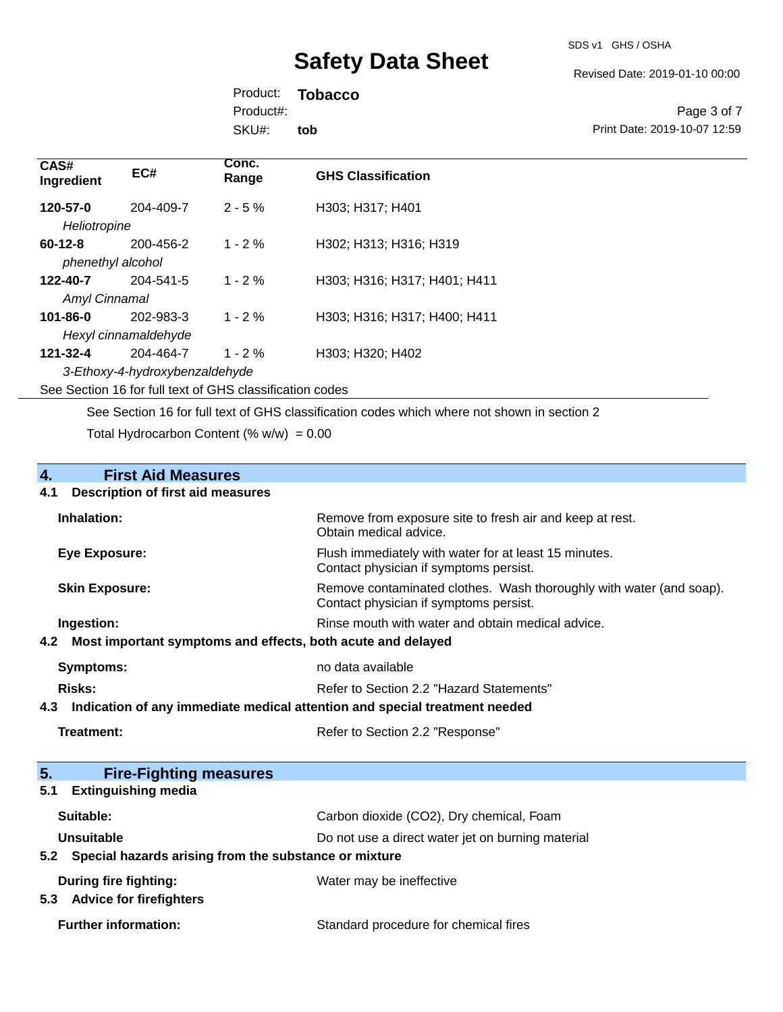Revised Date: 2019-01-10 00:00

Product: **Tobacco** SKU#: Product#: **tob**

Page 3 of 7 Print Date: 2019-10-07 12:59

| CAS#<br>Ingredient                 | EC#                                         | Conc.<br>Range                                           | <b>GHS Classification</b>    |
|------------------------------------|---------------------------------------------|----------------------------------------------------------|------------------------------|
| 120-57-0<br>Heliotropine           | 204-409-7                                   | $2 - 5 \%$                                               | H303; H317; H401             |
| $60 - 12 - 8$<br>phenethyl alcohol | 200-456-2                                   | $1 - 2 \%$                                               | H302: H313: H316: H319       |
| 122-40-7<br>Amyl Cinnamal          | 204-541-5                                   | $1 - 2\%$                                                | H303; H316; H317; H401; H411 |
| $101 - 86 - 0$                     | 202-983-3<br>Hexyl cinnamaldehyde           | $1 - 2\%$                                                | H303: H316: H317: H400: H411 |
| 121-32-4                           | 204-464-7<br>3-Ethoxy-4-hydroxybenzaldehyde | $1 - 2\%$                                                | H303; H320; H402             |
|                                    |                                             | See Section 16 for full text of GHS classification codes |                              |

See Section 16 for full text of GHS classification codes which where not shown in section 2

Total Hydrocarbon Content (%  $w/w$ ) = 0.00

# **4. First Aid Measures**

#### **4.1 Description of first aid measures**

| Inhalation:                                                     | Remove from exposure site to fresh air and keep at rest.<br>Obtain medical advice.                              |
|-----------------------------------------------------------------|-----------------------------------------------------------------------------------------------------------------|
| <b>Eye Exposure:</b>                                            | Flush immediately with water for at least 15 minutes.<br>Contact physician if symptoms persist.                 |
| <b>Skin Exposure:</b>                                           | Remove contaminated clothes. Wash thoroughly with water (and soap).<br>Contact physician if symptoms persist.   |
| Ingestion:                                                      | Rinse mouth with water and obtain medical advice.                                                               |
| 4.2 Most important symptoms and effects, both acute and delayed |                                                                                                                 |
| Symptoms:                                                       | no data available                                                                                               |
| Risks:                                                          | Refer to Section 2.2 "Hazard Statements"                                                                        |
|                                                                 | t 0 - Institute the contract the model of the structure of the contract the contract the state of the structure |

**4.3 Indication of any immediate medical attention and special treatment needed**

Refer to Section 2.2 "Response"

| 5.<br><b>Fire-Fighting measures</b>                       |                                                   |
|-----------------------------------------------------------|---------------------------------------------------|
| <b>Extinguishing media</b><br>5.1                         |                                                   |
| Suitable:                                                 | Carbon dioxide (CO2), Dry chemical, Foam          |
| Unsuitable                                                | Do not use a direct water jet on burning material |
| 5.2 Special hazards arising from the substance or mixture |                                                   |
| During fire fighting:                                     | Water may be ineffective                          |
| <b>Advice for firefighters</b><br>5.3                     |                                                   |
| <b>Further information:</b>                               | Standard procedure for chemical fires             |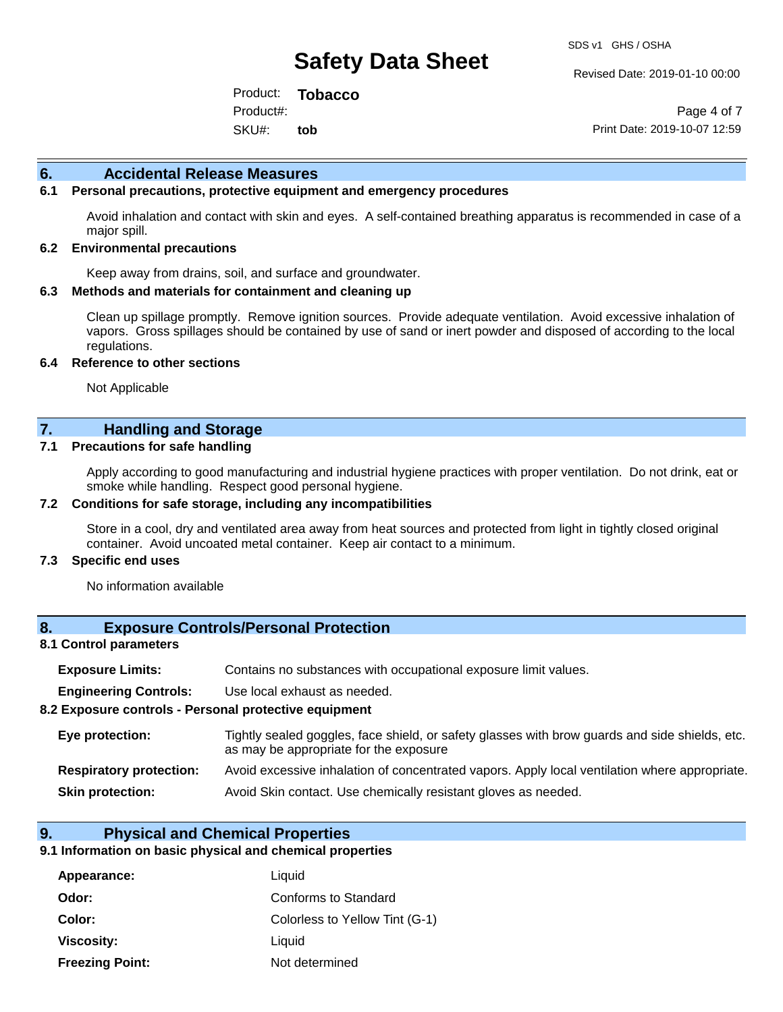Revised Date: 2019-01-10 00:00

Product: **Tobacco** SKU#: Product#: **tob**

Page 4 of 7 Print Date: 2019-10-07 12:59

#### **6. Accidental Release Measures**

#### **6.1 Personal precautions, protective equipment and emergency procedures**

Avoid inhalation and contact with skin and eyes. A self-contained breathing apparatus is recommended in case of a major spill.

#### **6.2 Environmental precautions**

Keep away from drains, soil, and surface and groundwater.

#### **6.3 Methods and materials for containment and cleaning up**

Clean up spillage promptly. Remove ignition sources. Provide adequate ventilation. Avoid excessive inhalation of vapors. Gross spillages should be contained by use of sand or inert powder and disposed of according to the local regulations.

#### **6.4 Reference to other sections**

Not Applicable

### **7. Handling and Storage**

#### **7.1 Precautions for safe handling**

Apply according to good manufacturing and industrial hygiene practices with proper ventilation. Do not drink, eat or smoke while handling. Respect good personal hygiene.

#### **7.2 Conditions for safe storage, including any incompatibilities**

Store in a cool, dry and ventilated area away from heat sources and protected from light in tightly closed original container. Avoid uncoated metal container. Keep air contact to a minimum.

#### **7.3 Specific end uses**

No information available

#### **8. Exposure Controls/Personal Protection**

#### **8.1 Control parameters**

| <b>Exposure Limits:</b> |  | Contains no substances with occupational exposure limit values. |  |  |  |
|-------------------------|--|-----------------------------------------------------------------|--|--|--|
|-------------------------|--|-----------------------------------------------------------------|--|--|--|

**Engineering Controls:** Use local exhaust as needed.

#### **8.2 Exposure controls - Personal protective equipment**

| Eye protection:                | Tightly sealed goggles, face shield, or safety glasses with brow guards and side shields, etc.<br>as may be appropriate for the exposure |
|--------------------------------|------------------------------------------------------------------------------------------------------------------------------------------|
| <b>Respiratory protection:</b> | Avoid excessive inhalation of concentrated vapors. Apply local ventilation where appropriate.                                            |
| <b>Skin protection:</b>        | Avoid Skin contact. Use chemically resistant gloves as needed.                                                                           |

#### **9. Physical and Chemical Properties**

#### **9.1 Information on basic physical and chemical properties**

| Appearance:            | Liquid                         |
|------------------------|--------------------------------|
| Odor:                  | Conforms to Standard           |
| Color:                 | Colorless to Yellow Tint (G-1) |
| Viscosity:             | Liquid                         |
| <b>Freezing Point:</b> | Not determined                 |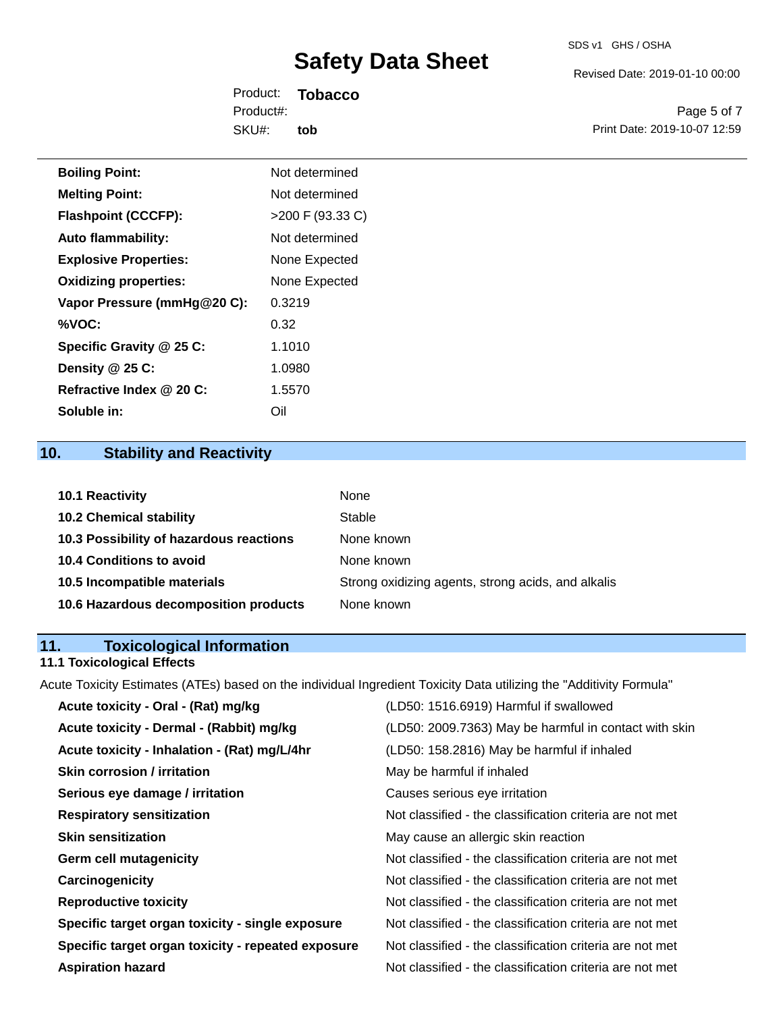Revised Date: 2019-01-10 00:00

Product: **Tobacco** SKU#: Product#: **tob**

Page 5 of 7 Print Date: 2019-10-07 12:59

| <b>Boiling Point:</b>        | Not determined     |
|------------------------------|--------------------|
| <b>Melting Point:</b>        | Not determined     |
| <b>Flashpoint (CCCFP):</b>   | $>200$ F (93.33 C) |
| <b>Auto flammability:</b>    | Not determined     |
| <b>Explosive Properties:</b> | None Expected      |
| <b>Oxidizing properties:</b> | None Expected      |
| Vapor Pressure (mmHg@20 C):  | 0.3219             |
| %VOC:                        | 0.32               |
| Specific Gravity @ 25 C:     | 1.1010             |
| Density @ 25 C:              | 1.0980             |
| Refractive Index @ 20 C:     | 1.5570             |
| Soluble in:                  | Oil                |

# **10. Stability and Reactivity**

| <b>10.1 Reactivity</b>                  | None                                               |
|-----------------------------------------|----------------------------------------------------|
| <b>10.2 Chemical stability</b>          | Stable                                             |
| 10.3 Possibility of hazardous reactions | None known                                         |
| <b>10.4 Conditions to avoid</b>         | None known                                         |
| 10.5 Incompatible materials             | Strong oxidizing agents, strong acids, and alkalis |
| 10.6 Hazardous decomposition products   | None known                                         |

# **11. Toxicological Information**

# **11.1 Toxicological Effects**

Acute Toxicity Estimates (ATEs) based on the individual Ingredient Toxicity Data utilizing the "Additivity Formula"

| Acute toxicity - Oral - (Rat) mg/kg                | (LD50: 1516.6919) Harmful if swallowed                   |
|----------------------------------------------------|----------------------------------------------------------|
| Acute toxicity - Dermal - (Rabbit) mg/kg           | (LD50: 2009.7363) May be harmful in contact with skin    |
| Acute toxicity - Inhalation - (Rat) mg/L/4hr       | (LD50: 158.2816) May be harmful if inhaled               |
| <b>Skin corrosion / irritation</b>                 | May be harmful if inhaled                                |
| Serious eye damage / irritation                    | Causes serious eye irritation                            |
| <b>Respiratory sensitization</b>                   | Not classified - the classification criteria are not met |
| <b>Skin sensitization</b>                          | May cause an allergic skin reaction                      |
| <b>Germ cell mutagenicity</b>                      | Not classified - the classification criteria are not met |
| Carcinogenicity                                    | Not classified - the classification criteria are not met |
| <b>Reproductive toxicity</b>                       | Not classified - the classification criteria are not met |
| Specific target organ toxicity - single exposure   | Not classified - the classification criteria are not met |
| Specific target organ toxicity - repeated exposure | Not classified - the classification criteria are not met |
| <b>Aspiration hazard</b>                           | Not classified - the classification criteria are not met |
|                                                    |                                                          |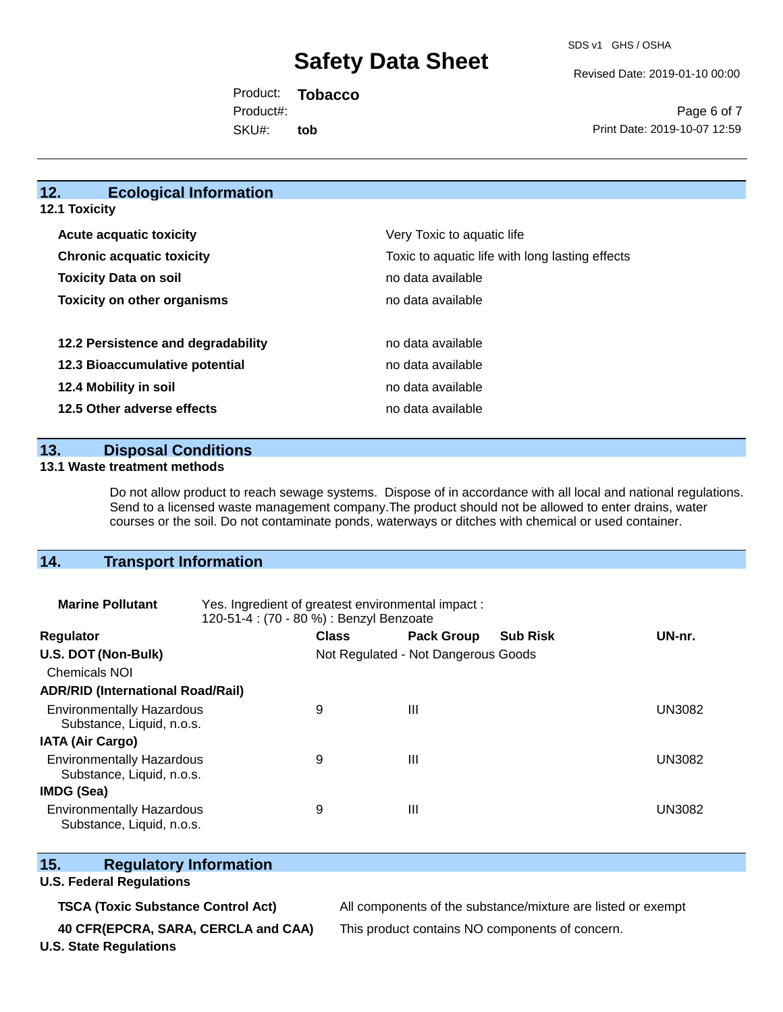SDS v1 GHS / OSHA

Revised Date: 2019-01-10 00:00

Product: **Tobacco** SKU#: Product#: **tob**

Page 6 of 7 Print Date: 2019-10-07 12:59

### **12. Ecological Information**

**12.1 Toxicity**

| <b>Acute acquatic toxicity</b>     | Very Toxic to aquatic life                      |  |  |
|------------------------------------|-------------------------------------------------|--|--|
| <b>Chronic acquatic toxicity</b>   | Toxic to aquatic life with long lasting effects |  |  |
| <b>Toxicity Data on soil</b>       | no data available                               |  |  |
| <b>Toxicity on other organisms</b> | no data available                               |  |  |
|                                    |                                                 |  |  |
| 12.2 Persistence and degradability | no data available                               |  |  |
| 12.3 Bioaccumulative potential     | no data available                               |  |  |
| 12.4 Mobility in soil              | no data available                               |  |  |
| 12.5 Other adverse effects         | no data available                               |  |  |

**13. Disposal Conditions** 

#### **13.1 Waste treatment methods**

Do not allow product to reach sewage systems. Dispose of in accordance with all local and national regulations. Send to a licensed waste management company.The product should not be allowed to enter drains, water courses or the soil. Do not contaminate ponds, waterways or ditches with chemical or used container.

## **14. Transport Information**

| <b>Marine Pollutant</b>                                       | Yes. Ingredient of greatest environmental impact:<br>120-51-4 : (70 - 80 %) : Benzyl Benzoate |                                     |                   |                 |        |
|---------------------------------------------------------------|-----------------------------------------------------------------------------------------------|-------------------------------------|-------------------|-----------------|--------|
| <b>Regulator</b>                                              |                                                                                               | <b>Class</b>                        | <b>Pack Group</b> | <b>Sub Risk</b> | UN-nr. |
| U.S. DOT (Non-Bulk)                                           |                                                                                               | Not Regulated - Not Dangerous Goods |                   |                 |        |
| <b>Chemicals NOI</b>                                          |                                                                                               |                                     |                   |                 |        |
| <b>ADR/RID (International Road/Rail)</b>                      |                                                                                               |                                     |                   |                 |        |
| <b>Environmentally Hazardous</b><br>Substance, Liquid, n.o.s. |                                                                                               | 9                                   | $\mathbf{III}$    |                 | UN3082 |
| <b>IATA (Air Cargo)</b>                                       |                                                                                               |                                     |                   |                 |        |
| <b>Environmentally Hazardous</b><br>Substance, Liquid, n.o.s. |                                                                                               | 9                                   | $\mathbf{III}$    |                 | UN3082 |
| <b>IMDG (Sea)</b>                                             |                                                                                               |                                     |                   |                 |        |
| <b>Environmentally Hazardous</b><br>Substance, Liquid, n.o.s. |                                                                                               | 9                                   | Ш                 |                 | UN3082 |

### **15. Regulatory Information**

### **U.S. Federal Regulations**

**40 CFR(EPCRA, SARA, CERCLA and CAA)** This product contains NO components of concern.

**TSCA (Toxic Substance Control Act)** All components of the substance/mixture are listed or exempt

**U.S. State Regulations**